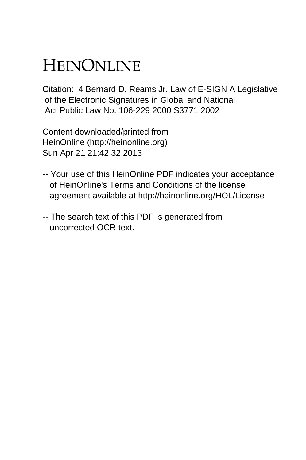## HEINONLINE

Citation: 4 Bernard D. Reams Jr. Law of E-SIGN A Legislative of the Electronic Signatures in Global and National Act Public Law No. 106-229 2000 S3771 2002

Content downloaded/printed from HeinOnline (http://heinonline.org) Sun Apr 21 21:42:32 2013

- -- Your use of this HeinOnline PDF indicates your acceptance of HeinOnline's Terms and Conditions of the license agreement available at http://heinonline.org/HOL/License
- -- The search text of this PDF is generated from uncorrected OCR text.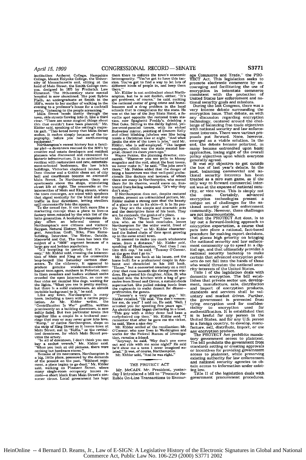pus, designed in 1875 by Frederick Law there.<br>Olmstead. The 19th-century state mental Mr. Kidder is not ambivalent about North<br>hospital is now abandoned. The poet Sylvia ampton, but he is not foolish, either, "It's Plath, an undergraduate at Smith in the got problems, of course," he said, reciting 1950's, wrote to her mother of walking in the the national roster of gang crime and homeevening to a professor's **house** for a cocktail **leness** and a drug problem in the local

town. side streets flowing into it, like a third vorite spot opposite the restored train sta river. "Thern **are** some magical things about **tion, now** Spaghetti Freddy's. drinking a this that couldn't have been planned." Mr. Diet Coke. Sitting in the dimly lighted, yel-Kidder said. speaking of the setting's **majes-** low-wood-panealed tavern, with its etched tic gait. "This broad sweep that Main Street Budweiser mirror, painting of Smiett Kelly makes, it makes simply because of the to- and **silent** blinking jukebox was like being pography. before **you had** earth-moving inside a Christmas tree at night. "And what

creative real estate developers and resident **pItal.** closed **ito** doos years ago." ploneers who discovered and reInvented *its* Wayne Feiden, the planning dirertor. ron Matter infrastructure. It is an architectural curred. "Whenever you see polls in Money<br>protine: with restoration and new, entertain-<br>magazine and the rest, about the best towns,<br>ment-oriented businesses. the low brick we n Discussions when the discussion in the life of the contract the discussion of Decomposition and a Gothic chess set of city being a boomtown was that well-paid professions and a Gothic chess set of city being a boomtown was apartments above the shops. stimulating there for its charms, would **move on,** ftrusspartinums show the using state and the transfer for its enterins, women into starting in the state life at night. The crosswalks at the transd from feeling underpaid. This why they intersection of Main and King streets, w spill momentarily into the square. **of a place is not in its skin-it is in its peo**<br>spill momentarily into the square. **of a place is not in its skin-it is in its peo** 

Factory town retooled by the wish list of the are, he contends the generation. A bookshop's magazine distribute generation. A bookshop's magazine distribute of a piece of a piece of a piece of a piece of a piece of a piece latte generation. A bookshop's magazine dis- Mr. Kidder's "Home Town" hero is a nahave offers an informal census of the who, as the book concludes. leaves<br>have map offers an informal census of the who, as the book concludes. leaves<br>Raygun, Natural History, Birdwatcher's D1- his "nick-names," as Mr. Kidd

easy," Mr. Kidder said, crossing the intersec- at the gym that I go to."<br>tion of Main and King as the crosswalks Mr. Kidder was back at his house, not the her beep-beeped like Saturday cartoon char-<br>home built for a professional couple in Am-<br>acters. To the cittenry, it appeared to herst and chronicled in his 1985 book.<br>produce genuine wonderment—rainbow- "House," but a conv

**town.** including a town with a native papa- Kidder recalled. "He said. 'You don't rememlation. As Mr. Kidder writes, the kidder recalled, restaid, fou don't remem.<br>lation. As Mr. Kidder writes, the ber me, do you?' I said no. He said, 'Well.<br>"Gentrification Is War" graffito, written arrested you for speeding prominently on a building downtown, i **now** An electric miner began clattering in a bowl. together like a couple in a brokered mar- minis guy with a sniny dome had been a together like a couple in a brokered mar- curly-haired cop then." Mr. Kidder said. "I roge that may or may never grow into love, remember that after he gave me the ticket<br>riage that may or may never grow into love, remember that after he gave me the ticket<br>"Hamp." or native Northampton, shops on he said, 'H Trainy. In the Strip of King Street as it leaves fown at  $M$ . Kidder smiled at the recollection; Mr. Richard Street as it leaves fown at  $M$ . Kidder smiled at the recollection; Mr. Richard Street as it leaves for the revi

vides the artery.<br>"In all of downtown, I don't think you can when a socket went, I don't think you can<br>buy a socket wenth, "Anyway, he said, "Why don't you come<br>buy a socket wenth," Mr. Kidder said. out and ride with me some night?" He said<br>"When you look at old pictures, there wer

nothing but hardware stores."<br>
The use of the store is in the store of the store in the secarce of its newcomers, Northampton is bised." It was of course, Northampton.<br>
It is big, little place, pressured by the demands<br>
of ment, a place begins to go dead." Mr. Kidder THE PROTECT ACT<br>said, walking on Pleasant Street, where  $M_T$  McCAIN Mr. President main, a piace segme of Street, where<br>many single-room occupancy houses re-<br>many single-room occupancy houses re-<br>main—a short block from Main Street's con-<br>sumer circus. Local government has kept liable On-Line Transaction

*April 15, 1999* **CONGRESSIONAL** RECORD-SENATE institution: Amherst College, Hampshire them there to enforce the town's economic<br>College, Mount Holyoke College, the Univer- heterogeneity. "You've got to have this ten-<br>sity of Massachusetts and, sitting at the sion. You

party, "listening to the people screaming." schools that is conspicuous for the state. He had in Street bends slowly through the was at the bar of the Bay State Hotel. a faposition. Using the case of the state of the text of the cover is jobs." Said Mr.<br>Northampton's recent history has a famil- Kidder, who is self-employed. "Northampton's recent history has a famil- Kidder, who is self-emplo

traffic in four directions, letting strollers Kidder makes a strong case that the beauty For the casual eye, it can look more like a pie. They are the simple and dramatic acts<br>marketing concept than a place to live-a and the descriptive faces of his book. They

large gay and lesbian population. Speaking of Northampton. "And then I ran<br>"It's tempting to parody, but it's too into this cop," he said. "Tommy O'Connor.

certain the citizenry, it appeared to insist and chronicled in his 1995 book. A<br>produce genuine wonderment-rainbow- "House." but a converted creater parameter and charge have a<br>pair of a minimum base of the series and loca

In equiposity as very gregarious guy." Tommy's a very gregarious guy." Mr.<br>
"Tommy's a very gregarious guy." Mr.<br>
Krider recalled. "He said, "You don't remem-<br>
ber me, do you?" I said no. He said, "Well." but me, to your I said towns a greated you for speeding five years ago."<br>An electric mixer began clattering in a bowl.<br>"This guy with a shiny dome had been a a<br>curly-haired op then." Mr. Kidder said. "I remember that after

age Commerce and Trade," the PRO-<br>TECT Act. This legislation seeks to<br>promote electronic commerce by enpromote couraging and facilitating the use of<br>encryption in interstate commerce<br>consistent with the protection of United States law enforcement and national security goals and missions. During the last Congress, there was a

very intense debate surrounding the encryption issue. That debate, as with any discussion regarding encryption technology, centered around the chal-lenge of balancing free trade objeetives with national security and law enforcement interests. There were various pro-<br>ment interests. There were various pro-<br>prosals put forward. None, however,<br>end, the debate became polarized, as<br>many became entrenched upon basic<br>many became entrenched upon basic<br>p

process of the control of the control of the box any objective to get outside<br>the box of last year's debate. In the past, balancing commercial and na-<br>tracted as a zero sumercial and na-<br>tracted as a zero sum game, as if t **est** was at the expense of national **secu-**rity, or vice versa. This is simply not the case. Certainly, advanced encryption technologies present a unique set of challenges for the na-tional security and law enforcement community. However, these challenges are not insurmountable. What the PROTECT Act does, is to

what the FROTECT ACC does, is to<br>lay out a forward-looking approach to<br>encryption exportation, a course that puts into place a rational, fact-based<br>procedure for making export decisions,<br>that places high priority on bringing<br>the national security and law enforce-<br>ment community up to speed in a digment community up to speed in a dig-<br>ital age, and that ultimately provides a<br>national security backstop to make certain that advanced encryption products do not fall into the hands of those who would threaten the national secu-rity interests of the United States.

Title I of the legislation deals<br>Title I of the legislation deals with<br>domestic encryption. The bill estab-<br>lishes that private sector use. development, manufacture, sale, distribution<br>and import of encryption products,<br>standards and services shall be voluntary and market driven. Further, the government is prevented from tying encryption used for confiden-tiality to encryption used for tiality to encryption used for<br>authentification. It is established that it is lawful for any person In the United States, and for any U.S. person in a foreign country, to develop, manufacture, sell, distribute, import, or use any encryption product. The PROTECT Act prohibits manda-

tory government access to plaintext. The bill prohibits the government from standards setting or creating approvals or incentives for providing government access to plaintext, while preserving existing authority for law enforcement and national security agencies to ob-tain acess to information under existing law, Title II of the legislation deals with

government procurement procedures.

HeinOnline -- 4 Bernard D. Reams, Jr., Law of E-SIGN: A Legislative History of the Electronic Signatures in Global and National Commerce Act, Public Law No. 106-229 (2000) S3771 2002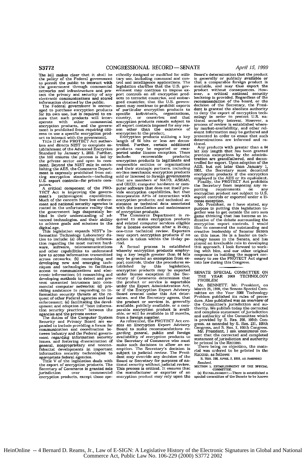**S3772**

The bill makes clear that it the policy of the Federal gov to permit the public to inter; the government through commet<br>networks and infrastructure as tect the privacy and security electronic communications **an** information obtained **by** the pu The Federal government is

aged to purchase encryption products for its own use, but is required to ensure that such products **wil** operate with other **con** encryption products, and the ment is prohibited from requir zens to use a specific encryption prod**uct** to interact with **the** governm Title II of the PROTECT Act

izes and directs NIST to com tablishment of the Advanced E Standard by January **1.** 2002, the bill ensures the process is the private sector and open ment. Beyond the NIST role I lishing the *ABS,* the Commerce ment is expressly prohibited fi ting encryption standards-U.S. export controls-for priva puters.

A critical component of th TECT Act is improving the ment's technological cap; Much of the concern from **law** mater of the content manner and in rooted in the unfortunate real the government lags despera hind in their understanding vanced technologies, and their to achieve goals and missions digital age. This legislation expands **NI**

formation Technology Laborat ties to include: (a) obtaining tion regarding the most curre<br>ware, software, telecommun and other capabilities to understand how to access information transmitted across networks; **(b)** research developing new **and** emergin niques and technologies to **f** access to communications **a** tronic information; **(c)** research developing methods to detect and prevent unwanted intrusions **int** mercial computer networks; (d) providing assistance in respondin formation security threats at quest of other Federal agencies enforcement; (a) facilitating th opment and adoption of "best is<br>tion security practices" betw<br>agencies and the private sector.<br>The duties of the Computer

Security and Privacy Board panded to include providing a **fr** communication and coordina: tween industry and the Federal ment regarding information issues, **and** fostering dissemin general, nonproprietory **and** fidential developments in In information security technol appropriate federal agencies. Title V of the legislation de

the export of encryption products. The Secretary of Commerce is grand in the control of Commerce is grand in the control of the control of the control of the control of the control of the control of the control of the control of the control of the control of th jurisdiction over commercial<br>encryption products, except those spe-

shall be cifically designed or modified for mili- Boa<br>ernment tary use, including command and con- is g act with trol and intelligence applications. The that intercial legislation clarifies that the U.S. gov- avail **and** pro- ernment may continue to impose **ex-** prod of any port controls on all encryption prod- ever **d** stored ucts to terrorist countries, and ember- back **blic.** goed countries; that the **U.S.** govern- **reco** encour- meet may continue to prohibit exports **deci** products of particular encryption products to dend to en-specific individuals, organizations, to to merric country, or countries; and that not inter-country, or countries; and that not immercial encryption products remain all export controls imposed for any rea-

ong citi- son other than the existence of by<br>montrod encryption interpoduct. Encryption products utilizing a key present<br>ment. Encryption products utilizing a key present<br>gath of 84 bits or less are decondered<br>plete es- tr to com- encryption products to legitimate and trate to com-<br>neuthor responsible entities or organizations **AEC**<br>neuthor responsible entities or organizations **AEC**<br>Depart- and their strategic partners, including  $\frac{\text{AES}}{$ and their strategic partners, including<br>on-line merchants; encryption products ncluding sold **or** licensed to foreign governments ate **eon-** that are members of NATO, ASEAN. ei and OECD; computer hardware or computer software that does not itself progovern- vide encryption capabilities, but that en abilities. incorporates APIs of interaction with **expi** encryption products; and technical assistance or *technical* data associated with the installation and maintenance

tely be- of encryption products.<br> **get of ad-** The Commerce Department is re- get<br>
r ability quired to make encryption products dic in the **and** related computer services eligible **eni** for a license exception after a 15-day, like ST's In- one-time technical review. Exporters crea<br>tory du- may export encryption products if no on the<br>informa- action is taken within the 15-day pe- nolo.<br>nt hard- riod.

riod.<br>A formal process is established derstand whereby encryption products employ- ing nsmitted ing a key length greater than **64** bits cost ing and may be granted an exemption from **ex-** essa :g tech- port controls. Under the procedures **es-** into acilitate tablished by this legislation,<br>ad elec- encryption products may be exported<br>hing and under license exception if: the Secretary of Commerce determines that the product or service is exportable (d) pro- under the Export Administration Act, **M** g to **in-** or if the Encryption Export Advisory Mar the re- Board created under this At deter- miD and law mines, **and** the Secretary agrees, that Pro and haw intuits, who has devel-<br>informa- available, publicly available, or a com-<br>informa- available, publicly available, or a comen the parable encryption product is avail-<br>
able, or will be available in 12 months, and System from a foreign supplier. **and** are **ex-** As referenced, the PROTECT Act cre- is P

ates an Encryption Export Advisory tion be- Board to make recommendations re- **Con** govern- garding general, public and foreign **<sup>M</sup>** security availability of encryption products to<br>security availability of Commerce who must stat<br>noncon- make such decisions to allow an ex-<br>noncon- make such decisions to allow an exaporcant erption. The Secretary's decision is rial ogies to subject to judicial review. The Presi- **ric** dent may override any decision of the Board or Secretary for purposes of na-<br>als with Board or Secretary for purposes of na-<br>etcs. The tional security without judicial review. iced sole This process is critical. It ensures that mernial the manufacturer **or** exporter of an **(a)** encryption product may rely upon the

Board's determination that the product enerally or publicly available or a comparable foreign product is o a computation and the second the second that the second in the second is provided. Regardless of the second in minimization of the Secretary, the Presistic second the second of the Second in the second of the experiment by market-availability, and other rel-<br>evant information may be gathered and ented in order to ensue that such rininations are informed **and re**tional.

Any products with greater than a 64 ity products with greater than a deleter of<br>key length that has been granted<br>vious exemptions by the adminision are grandfathered, **and** decon-led for export. Upon adoption of the Four or spot that all and January **1,**<br>the Secretary must decontrol<br>yptlion products if the encryption<br>loyed is the AES or its equivalent.<br>Secretary from imposing any rering requirements **on** any yption product not subject to U.S. **irt** controls or exported under a **Ii**e exception. r. President, **as** I have stated, my

purpose in putting this legislation toover an putung uns registation to<br>the thinking that has become so in-<br>tive of the debate surrounding the<br>ryption export controls. I would<br>to commend the outstanding and tive leadership of Senator BURNS this issue. He is a leader on tech-**ogy** issues in the Senate, *and* has ed an invaluable role in developing approach. I look forward to workwith him, and our other original onsor in building the support nec-ry to **see** the PROTECT Act signed law during this Congress.

lATE SPECIAL COMMITTEE ON **HE** YEAR 2OOu TECHNOLOGY ROBLEM

r. BENNETT. Mr. President, on<br>ch <sup>25</sup>, 1999, the Senate Special Com-<br>tee on the Year <sup>2000</sup> Technology<br>blem published its rules of proce-<br>e. Also nublished was an overview of Committee's jurisdiction **and** au-ity. We publish today the corrected complete statement of jurisdiction authority of the Committee which rovided **by S.** Res. **208,** 105th Con-**as as** amended **by S.** Res. **231.** 105th grass, **and S.** Res. **7.** 106th Congress. **r.** President, I **ask** unanimous con-

restaent, a ask unanimous contribution and authority<br>tement of jurisdiction and authority<br>rinted in the RECORD.<br>nere being no objection, the mate-

was ordered to be printed in the<br>
ORD, as follows:

*S.* **Em. 208.** APRIL **2. 198.** *AS* AMENmo *.o1ed,*

**ION 1. ESTABLISHMENT OF THE SPECIAL**<br>COMMITTEE.<br>ESTABLISHMENT.-There is established a

**ial** committee of the Senate **to** be **known**